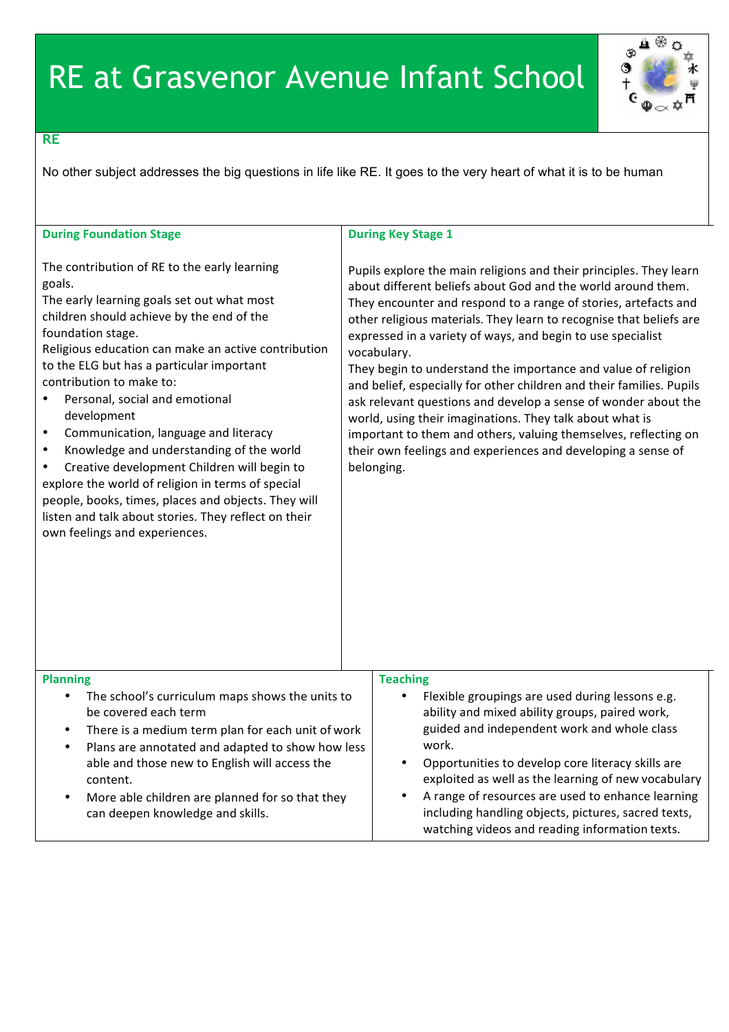

## **RE**

No other subject addresses the big questions in life like RE. It goes to the very heart of what it is to be human

| <b>During Foundation Stage</b>                                                                                                                                                                                                                                                                                                                                                                                                                                                                                                                                                                                                                                                                                                         | <b>During Key Stage 1</b>                                                                                                                                                                                                                                                                                                                                                                                                                                                                                                                                                                                                                                                                                                                                                          |
|----------------------------------------------------------------------------------------------------------------------------------------------------------------------------------------------------------------------------------------------------------------------------------------------------------------------------------------------------------------------------------------------------------------------------------------------------------------------------------------------------------------------------------------------------------------------------------------------------------------------------------------------------------------------------------------------------------------------------------------|------------------------------------------------------------------------------------------------------------------------------------------------------------------------------------------------------------------------------------------------------------------------------------------------------------------------------------------------------------------------------------------------------------------------------------------------------------------------------------------------------------------------------------------------------------------------------------------------------------------------------------------------------------------------------------------------------------------------------------------------------------------------------------|
| The contribution of RE to the early learning<br>goals.<br>The early learning goals set out what most<br>children should achieve by the end of the<br>foundation stage.<br>Religious education can make an active contribution<br>to the ELG but has a particular important<br>contribution to make to:<br>Personal, social and emotional<br>development<br>Communication, language and literacy<br>$\bullet$<br>Knowledge and understanding of the world<br>$\bullet$<br>Creative development Children will begin to<br>$\bullet$<br>explore the world of religion in terms of special<br>people, books, times, places and objects. They will<br>listen and talk about stories. They reflect on their<br>own feelings and experiences. | Pupils explore the main religions and their principles. They learn<br>about different beliefs about God and the world around them.<br>They encounter and respond to a range of stories, artefacts and<br>other religious materials. They learn to recognise that beliefs are<br>expressed in a variety of ways, and begin to use specialist<br>vocabulary.<br>They begin to understand the importance and value of religion<br>and belief, especially for other children and their families. Pupils<br>ask relevant questions and develop a sense of wonder about the<br>world, using their imaginations. They talk about what is<br>important to them and others, valuing themselves, reflecting on<br>their own feelings and experiences and developing a sense of<br>belonging. |
| <b>Planning</b><br>The school's curriculum maps shows the units to<br>$\bullet$<br>be covered each term<br>There is a medium term plan for each unit of work<br>$\bullet$<br>Plans are annotated and adapted to show how less<br>$\bullet$<br>able and those new to English will access the<br>content.<br>More able children are planned for so that they<br>$\bullet$<br>can deepen knowledge and skills.                                                                                                                                                                                                                                                                                                                            | <b>Teaching</b><br>Flexible groupings are used during lessons e.g.<br>$\bullet$<br>ability and mixed ability groups, paired work,<br>guided and independent work and whole class<br>work.<br>Opportunities to develop core literacy skills are<br>$\bullet$<br>exploited as well as the learning of new vocabulary<br>A range of resources are used to enhance learning<br>$\bullet$<br>including handling objects, pictures, sacred texts,<br>watching videos and reading information texts.                                                                                                                                                                                                                                                                                      |